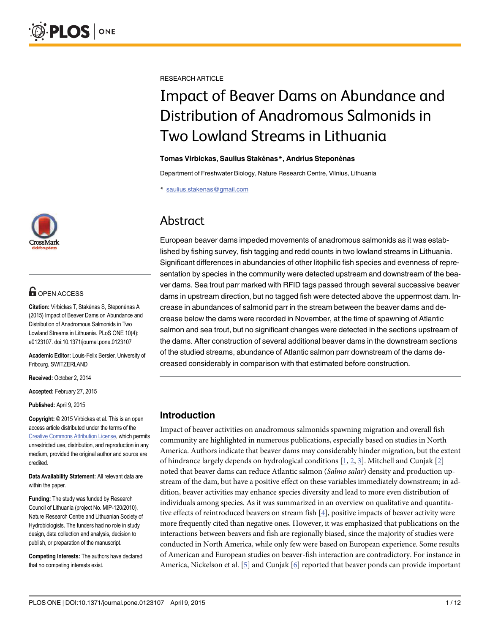

# **OPEN ACCESS**

Citation: Virbickas T, Stakėnas S, Steponėnas A (2015) Impact of Beaver Dams on Abundance and Distribution of Anadromous Salmonids in Two Lowland Streams in Lithuania. PLoS ONE 10(4): e0123107. doi:10.1371/journal.pone.0123107

Academic Editor: Louis-Felix Bersier, University of Fribourg, SWITZERLAND

Received: October 2, 2014

Accepted: February 27, 2015

Published: April 9, 2015

Copyright: © 2015 Virbickas et al. This is an open access article distributed under the terms of the Creative Commons Attribution License, which permits unrestricted use, distribution, and reproduction in any medium, provided the original author and source are credited.

Data Availability Statement: All relevant data are within the paper.

Funding: The study was funded by Research Council of Lithuania (project No. MIP-120/2010), Nature Research Centre and Lithuanian Society of Hydrobiologists. The funders had no role in study design, data collection and analysis, decision to publish, or preparation of the manuscript.

Competing Interests: The authors have declared that no competing interests exist.

RESEARCH ARTICLE

# Impact of Beaver Dams on Abundance and Distribution of Anadromous Salmonids in Two Lowland Streams in Lithuania

#### Tomas Virbickas, Saulius Stakėnas\*, Andrius Steponėnas

Department of Freshwater Biology, Nature Research Centre, Vilnius, Lithuania

\* saulius.stakenas@gmail.com

# Abstract

European beaver dams impeded movements of anadromous salmonids as it was established by fishing survey, fish tagging and redd counts in two lowland streams in Lithuania. Significant differences in abundancies of other litophilic fish species and evenness of representation by species in the community were detected upstream and downstream of the beaver dams. Sea trout parr marked with RFID tags passed through several successive beaver dams in upstream direction, but no tagged fish were detected above the uppermost dam. Increase in abundances of salmonid parr in the stream between the beaver dams and decrease below the dams were recorded in November, at the time of spawning of Atlantic salmon and sea trout, but no significant changes were detected in the sections upstream of the dams. After construction of several additional beaver dams in the downstream sections of the studied streams, abundance of Atlantic salmon parr downstream of the dams decreased considerably in comparison with that estimated before construction.

# Introduction

Impact of beaver activities on anadromous salmonids spawning migration and overall fish community are highlighted in numerous publications, especially based on studies in North America. Authors indicate that beaver dams may considerably hinder migration, but the extent of hindrance largely depends on hydrological conditions  $[1, 2, 3]$ . Mitchell and Cunjak  $[2]$ noted that beaver dams can reduce Atlantic salmon (Salmo salar) density and production upstream of the dam, but have a positive effect on these variables immediately downstream; in addition, beaver activities may enhance species diversity and lead to more even distribution of individuals among species. As it was summarized in an overview on qualitative and quantitative effects of reintroduced beavers on stream fish [4], positive impacts of beaver activity were more frequently cited than negative ones. However, it was emphasized that publications on the interactions between beavers and fish are regionally biased, since the majority of studies were conducted in North America, while only few were based on European experience. Some results of American and European studies on beaver-fish interaction are contradictory. For instance in America, Nickelson et al. [5] and Cunjak [6] reported that beaver ponds can provide important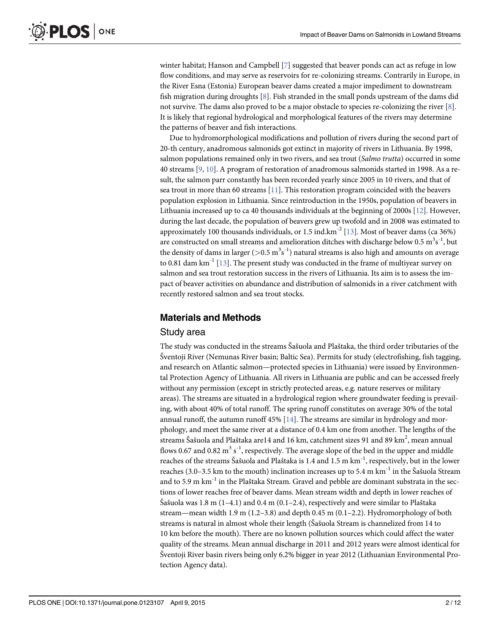PLOS ONE

winter habitat; Hanson and Campbell  $[7]$  suggested that beaver ponds can act as refuge in low flow conditions, and may serve as reservoirs for re-colonizing streams. Contrarily in Europe, in the River Esna (Estonia) European beaver dams created a major impediment to downstream fish migration during droughts  $[8]$ . Fish stranded in the small ponds upstream of the dams did not survive. The dams also proved to be a major obstacle to species re-colonizing the river [8]. It is likely that regional hydrological and morphological features of the rivers may determine the patterns of beaver and fish interactions.

Due to hydromorphological modifications and pollution of rivers during the second part of 20-th century, anadromous salmonids got extinct in majority of rivers in Lithuania. By 1998, salmon populations remained only in two rivers, and sea trout (Salmo trutta) occurred in some 40 streams [9, 10]. A program of restoration of anadromous salmonids started in 1998. As a result, the salmon parr constantly has been recorded yearly since 2005 in 10 rivers, and that of sea trout in more than 60 streams [11]. This restoration program coincided with the beavers population explosion in Lithuania. Since reintroduction in the 1950s, population of beavers in Lithuania increased up to ca 40 thousands individuals at the beginning of 2000s  $[12]$ . However, during the last decade, the population of beavers grew up twofold and in 2008 was estimated to approximately 100 thousands individuals, or 1.5 ind. $km<sup>-2</sup>$  [13]. Most of beaver dams (ca 36%) are constructed on small streams and amelioration ditches with discharge below 0.5  $\mathrm{m}^{3}\mathrm{s}^{-1}$ , but the density of dams in larger (>0.5  $\mathrm{m^3s^{\text{-}1}}$ ) natural streams is also high and amounts on average to 0.81 dam  $km^{-1}$  [13]. The present study was conducted in the frame of multiyear survey on salmon and sea trout restoration success in the rivers of Lithuania. Its aim is to assess the impact of beaver activities on abundance and distribution of salmonids in a river catchment with recently restored salmon and sea trout stocks.

# Materials and Methods

#### Study area

The study was conducted in the streams Šašuola and Plaštaka, the third order tributaries of the Šventoji River (Nemunas River basin; Baltic Sea). Permits for study (electrofishing, fish tagging, and research on Atlantic salmon—protected species in Lithuania) were issued by Environmental Protection Agency of Lithuania. All rivers in Lithuania are public and can be accessed freely without any permission (except in strictly protected areas, e.g. nature reserves or military areas). The streams are situated in a hydrological region where groundwater feeding is prevailing, with about 40% of total runoff. The spring runoff constitutes on average 30% of the total annual runoff, the autumn runoff  $45\%$  [14]. The streams are similar in hydrology and morphology, and meet the same river at a distance of 0.4 km one from another. The lengths of the streams Šašuola and Plaštaka are14 and 16 km, catchment sizes 91 and 89 km $^2$ , mean annual flows 0.67 and 0.82  $\mathrm{m}^{3}$  s<sup>-1</sup>, respectively. The average slope of the bed in the upper and middle reaches of the streams Šašuola and Plaštaka is 1.4 and 1.5 m km<sup>-1</sup>, respectively, but in the lower reaches (3.0–3.5 km to the mouth) inclination increases up to 5.4 m  $km^{-1}$  in the Šašuola Stream and to 5.9 m  $km^{-1}$  in the Plaštaka Stream. Gravel and pebble are dominant substrata in the sections of lower reaches free of beaver dams. Mean stream width and depth in lower reaches of Šašuola was 1.8 m (1–4.1) and 0.4 m (0.1–2.4), respectively and were similar to Plaštaka stream—mean width 1.9 m (1.2–3.8) and depth 0.45 m (0.1–2.2). Hydromorphology of both streams is natural in almost whole their length (Šašuola Stream is channelized from 14 to 10 km before the mouth). There are no known pollution sources which could affect the water quality of the streams. Mean annual discharge in 2011 and 2012 years were almost identical for Šventoji River basin rivers being only 6.2% bigger in year 2012 (Lithuanian Environmental Protection Agency data).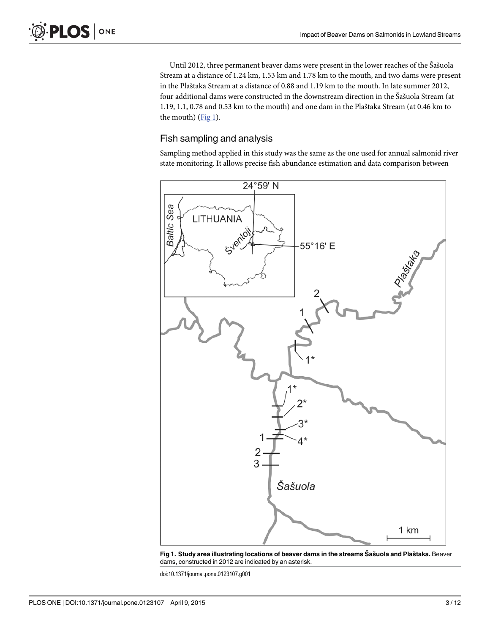Until 2012, three permanent beaver dams were present in the lower reaches of the Šašuola Stream at a distance of 1.24 km, 1.53 km and 1.78 km to the mouth, and two dams were present in the Plaštaka Stream at a distance of 0.88 and 1.19 km to the mouth. In late summer 2012, four additional dams were constructed in the downstream direction in the Šašuola Stream (at 1.19, 1.1, 0.78 and 0.53 km to the mouth) and one dam in the Plaštaka Stream (at 0.46 km to the mouth)  $(Fig 1)$ .

# Fish sampling and analysis

Sampling method applied in this study was the same as the one used for annual salmonid river state monitoring. It allows precise fish abundance estimation and data comparison between



Fig 1. Study area illustrating locations of beaver dams in the streams Šašuola and Plaštaka. Beaver dams, constructed in 2012 are indicated by an asterisk.

doi:10.1371/journal.pone.0123107.g001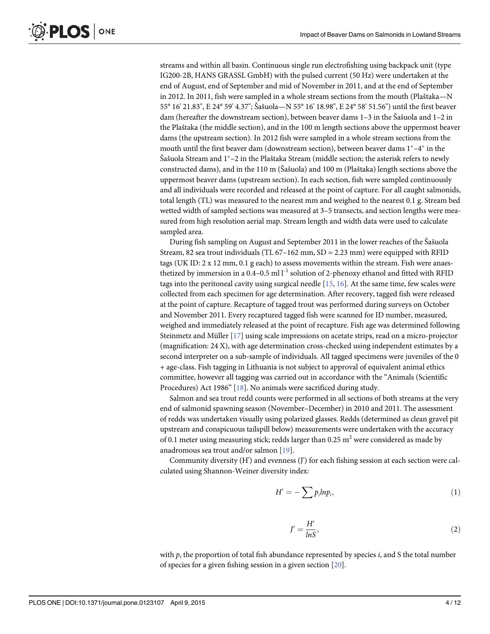streams and within all basin. Continuous single run electrofishing using backpack unit (type IG200-2B, HANS GRASSL GmbH) with the pulsed current (50 Hz) were undertaken at the end of August, end of September and mid of November in 2011, and at the end of September in 2012. In 2011, fish were sampled in a whole stream sections from the mouth (Plaštaka—N 55° 16' 21.83", E 24° 59' 4.37"; Šašuola—N 55° 16' 18.98", E 24° 58' 51.56") until the first beaver dam (hereafter the downstream section), between beaver dams 1–3 in the Šašuola and 1–2 in the Plaštaka (the middle section), and in the 100 m length sections above the uppermost beaver dams (the upstream section). In 2012 fish were sampled in a whole stream sections from the mouth until the first beaver dam (downstream section), between beaver dams  $1^*$ -4 $^*$  in the Šašuola Stream and  $1^*$ –2 in the Plaštaka Stream (middle section; the asterisk refers to newly constructed dams), and in the 110 m (Šašuola) and 100 m (Plaštaka) length sections above the uppermost beaver dams (upstream section). In each section, fish were sampled continuously and all individuals were recorded and released at the point of capture. For all caught salmonids, total length (TL) was measured to the nearest mm and weighed to the nearest 0.1 g. Stream bed wetted width of sampled sections was measured at 3–5 transects, and section lengths were measured from high resolution aerial map. Stream length and width data were used to calculate sampled area.

During fish sampling on August and September 2011 in the lower reaches of the Šašuola Stream, 82 sea trout individuals (TL  $67-162$  mm, SD = 2.23 mm) were equipped with RFID tags (UK ID: 2 x 12 mm, 0.1 g each) to assess movements within the stream. Fish were anaesthetized by immersion in a 0.4–0.5 ml  $l^{-1}$  solution of 2-phenoxy ethanol and fitted with RFID tags into the peritoneal cavity using surgical needle  $[15, 16]$ . At the same time, few scales were collected from each specimen for age determination. After recovery, tagged fish were released at the point of capture. Recapture of tagged trout was performed during surveys on October and November 2011. Every recaptured tagged fish were scanned for ID number, measured, weighed and immediately released at the point of recapture. Fish age was determined following Steinmetz and Müller [17] using scale impressions on acetate strips, read on a micro-projector (magnification: 24 X), with age determination cross-checked using independent estimates by a second interpreter on a sub-sample of individuals. All tagged specimens were juveniles of the 0 + age-class. Fish tagging in Lithuania is not subject to approval of equivalent animal ethics committee, however all tagging was carried out in accordance with the "Animals (Scientific Procedures) Act 1986" [18]. No animals were sacrificed during study.

Salmon and sea trout redd counts were performed in all sections of both streams at the very end of salmonid spawning season (November–December) in 2010 and 2011. The assessment of redds was undertaken visually using polarized glasses. Redds (determined as clean gravel pit upstream and conspicuous tailspill below) measurements were undertaken with the accuracy of 0.1 meter using measuring stick; redds larger than 0.25  $m<sup>2</sup>$  were considered as made by anadromous sea trout and/or salmon [19].

Community diversity (H') and evenness (J') for each fishing session at each section were calculated using Shannon-Weiner diversity index:

$$
H' = -\sum p_i ln p_i, \qquad (1)
$$

$$
J' = \frac{H'}{lnS},\tag{2}
$$

with  $p_i$  the proportion of total fish abundance represented by species i, and S the total number of species for a given fishing session in a given section [20].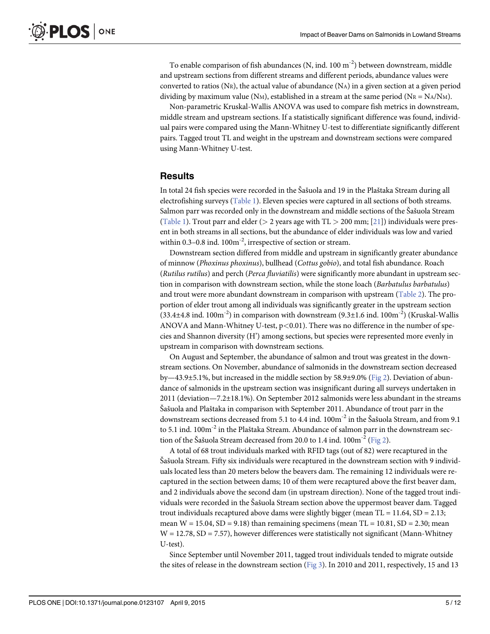To enable comparison of fish abundances  $(N, ind. 100 m<sup>-2</sup>)$  between downstream, middle and upstream sections from different streams and different periods, abundance values were converted to ratios (NR), the actual value of abundance (NA) in a given section at a given period dividing by maximum value (NM), established in a stream at the same period (NR = NA/NM).

Non-parametric Kruskal-Wallis ANOVA was used to compare fish metrics in downstream, middle stream and upstream sections. If a statistically significant difference was found, individual pairs were compared using the Mann-Whitney U-test to differentiate significantly different pairs. Tagged trout TL and weight in the upstream and downstream sections were compared using Mann-Whitney U-test.

## **Results**

In total 24 fish species were recorded in the Šašuola and 19 in the Plaštaka Stream during all electrofishing surveys (Table 1). Eleven species were captured in all sections of both streams. Salmon parr was recorded only in the downstream and middle sections of the Šašuola Stream (Table 1). Trout parr and elder ( $> 2$  years age with TL  $> 200$  mm; [21]) individuals were present in both streams in all sections, but the abundance of elder individuals was low and varied within  $0.3-0.8$  ind.  $100m^{-2}$ , irrespective of section or stream.

Downstream section differed from middle and upstream in significantly greater abundance of minnow (Phoxinus phoxinus), bullhead (Cottus gobio), and total fish abundance. Roach (Rutilus rutilus) and perch (Perca fluviatilis) were significantly more abundant in upstream section in comparison with downstream section, while the stone loach (Barbatulus barbatulus) and trout were more abundant downstream in comparison with upstream (Table 2). The proportion of elder trout among all individuals was significantly greater in the upstream section  $(33.4\pm4.8 \text{ ind. } 100\text{m}^{-2})$  in comparison with downstream  $(9.3\pm1.6 \text{ ind. } 100\text{m}^{-2})$  (Kruskal-Wallis ANOVA and Mann-Whitney U-test,  $p<0.01$ ). There was no difference in the number of species and Shannon diversity (H') among sections, but species were represented more evenly in upstream in comparison with downstream sections.

On August and September, the abundance of salmon and trout was greatest in the downstream sections. On November, abundance of salmonids in the downstream section decreased by—43.9±5.1%, but increased in the middle section by 58.9±9.0% (Fig 2). Deviation of abundance of salmonids in the upstream section was insignificant during all surveys undertaken in 2011 (deviation—7.2±18.1%). On September 2012 salmonids were less abundant in the streams Šašuola and Plaštaka in comparison with September 2011. Abundance of trout parr in the downstream sections decreased from 5.1 to 4.4 ind.  $100m^{-2}$  in the Šašuola Stream, and from 9.1 to 5.1 ind.  $100m^{-2}$  in the Plaštaka Stream. Abundance of salmon parr in the downstream section of the Šašuola Stream decreased from 20.0 to 1.4 ind.  $100\text{m}^{-2}$  (Fig 2).

A total of 68 trout individuals marked with RFID tags (out of 82) were recaptured in the Šašuola Stream. Fifty six individuals were recaptured in the downstream section with 9 individuals located less than 20 meters below the beavers dam. The remaining 12 individuals were recaptured in the section between dams; 10 of them were recaptured above the first beaver dam, and 2 individuals above the second dam (in upstream direction). None of the tagged trout individuals were recorded in the Šašuola Stream section above the uppermost beaver dam. Tagged trout individuals recaptured above dams were slightly bigger (mean  $TL = 11.64$ ,  $SD = 2.13$ ; mean  $W = 15.04$ ,  $SD = 9.18$ ) than remaining specimens (mean  $TL = 10.81$ ,  $SD = 2.30$ ; mean  $W = 12.78$ , SD = 7.57), however differences were statistically not significant (Mann-Whitney U-test).

Since September until November 2011, tagged trout individuals tended to migrate outside the sites of release in the downstream section (Fig 3). In 2010 and 2011, respectively, 15 and 13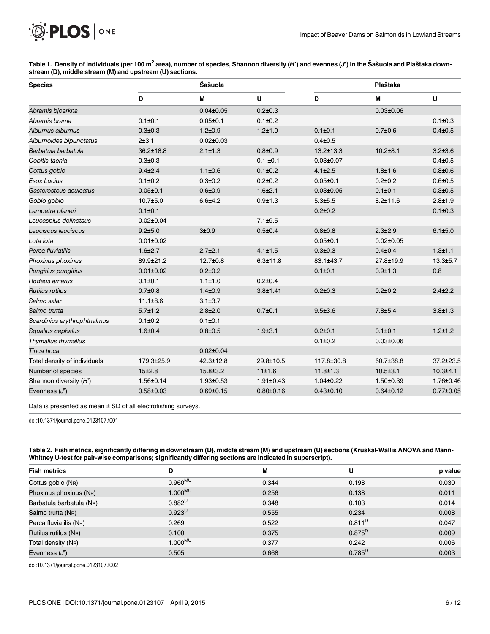

| Table 1. Density of individuals (per 100 m <sup>2</sup> area), number of species, Shannon diversity (H') and evennes (J') in the Šašuola and Plaštaka down- |  |  |
|-------------------------------------------------------------------------------------------------------------------------------------------------------------|--|--|
| stream (D), middle stream (M) and upstream (U) sections.                                                                                                    |  |  |

| <b>Species</b>               |                 | Šašuola         |                 |                 | Plaštaka        |                 |
|------------------------------|-----------------|-----------------|-----------------|-----------------|-----------------|-----------------|
|                              | D               | M               | U               | D               | M               | U               |
| Abramis bjoerkna             |                 | $0.04 \pm 0.05$ | $0.2 \pm 0.3$   |                 | $0.03 \pm 0.06$ |                 |
| Abramis brama                | $0.1 \pm 0.1$   | $0.05 \pm 0.1$  | $0.1 \pm 0.2$   |                 |                 | $0.1 \pm 0.3$   |
| Alburnus alburnus            | $0.3 + 0.3$     | $1.2 + 0.9$     | $1.2 + 1.0$     | $0.1 \pm 0.1$   | $0.7 + 0.6$     | $0.4 + 0.5$     |
| Alburnoides bipunctatus      | 2±3.1           | $0.02 \pm 0.03$ |                 | $0.4 + 0.5$     |                 |                 |
| Barbatula barbatula          | $36.2 \pm 18.8$ | $2.1 \pm 1.3$   | $0.8 + 0.9$     | $13.2 \pm 13.3$ | $10.2 + 8.1$    | $3.2 + 3.6$     |
| Cobitis taenia               | $0.3 + 0.3$     |                 | $0.1 \pm 0.1$   | $0.03 \pm 0.07$ |                 | $0.4 + 0.5$     |
| Cottus gobio                 | $9.4 + 2.4$     | $1.1 \pm 0.6$   | $0.1 \pm 0.2$   | $4.1 \pm 2.5$   | $1.8 + 1.6$     | $0.8 + 0.6$     |
| <b>Esox Lucius</b>           | $0.1 \pm 0.2$   | $0.3 + 0.2$     | $0.2 + 0.2$     | $0.05 + 0.1$    | $0.2 + 0.2$     | $0.6 + 0.5$     |
| Gasterosteus aculeatus       | $0.05 + 0.1$    | $0.6 + 0.9$     | $1.6 + 2.1$     | $0.03 \pm 0.05$ | $0.1 \pm 0.1$   | $0.3 + 0.5$     |
| Gobio gobio                  | $10.7 \pm 5.0$  | $6.6 + 4.2$     | $0.9 + 1.3$     | $5.3 + 5.5$     | $8.2 + 11.6$    | $2.8 + 1.9$     |
| Lampetra planeri             | $0.1 \pm 0.1$   |                 |                 | $0.2 + 0.2$     |                 | $0.1 \pm 0.3$   |
| Leucaspius delinetaus        | $0.02 \pm 0.04$ |                 | $7.1 \pm 9.5$   |                 |                 |                 |
| Leuciscus leuciscus          | $9.2 + 5.0$     | 3±0.9           | $0.5 + 0.4$     | $0.8 + 0.8$     | $2.3 + 2.9$     | $6.1 \pm 5.0$   |
| Lota lota                    | $0.01 \pm 0.02$ |                 |                 | $0.05 \pm 0.1$  | $0.02 \pm 0.05$ |                 |
| Perca fluviatilis            | $1.6 \pm 2.7$   | $2.7 \pm 2.1$   | $4.1 \pm 1.5$   | $0.3 + 0.3$     | $0.4 + 0.4$     | $1.3 + 1.1$     |
| Phoxinus phoxinus            | 89.9±21.2       | $12.7 + 0.8$    | $6.3 + 11.8$    | 83.1±43.7       | 27.8±19.9       | $13.3 + 5.7$    |
| Pungitius pungitius          | $0.01 \pm 0.02$ | $0.2 + 0.2$     |                 | $0.1 \pm 0.1$   | $0.9 + 1.3$     | 0.8             |
| Rodeus amarus                | $0.1 \pm 0.1$   | $1.1 \pm 1.0$   | $0.2 \pm 0.4$   |                 |                 |                 |
| Rutilus rutilus              | $0.7 + 0.8$     | $1.4 + 0.9$     | $3.8 + 1.41$    | $0.2 + 0.3$     | $0.2 + 0.2$     | $2.4 \pm 2.2$   |
| Salmo salar                  | $11.1 \pm 8.6$  | $3.1 \pm 3.7$   |                 |                 |                 |                 |
| Salmo trutta                 | $5.7 \pm 1.2$   | $2.8 + 2.0$     | $0.7 + 0.1$     | $9.5 + 3.6$     | $7.8 + 5.4$     | $3.8 + 1.3$     |
| Scardinius erythrophthalmus  | $0.1 \pm 0.2$   | $0.1 \pm 0.1$   |                 |                 |                 |                 |
| Squalius cephalus            | $1.6 + 0.4$     | $0.8 + 0.5$     | $1.9 + 3.1$     | $0.2{\pm}0.1$   | $0.1 \pm 0.1$   | $1.2 \pm 1.2$   |
| Thymallus thymallus          |                 |                 |                 | $0.1 \pm 0.2$   | $0.03 \pm 0.06$ |                 |
| Tinca tinca                  |                 | $0.02 \pm 0.04$ |                 |                 |                 |                 |
| Total density of individuals | 179.3±25.9      | 42.3±12.8       | 29.8±10.5       | 117.8±30.8      | 60.7±38.8       | $37.2 \pm 23.5$ |
| Number of species            | 15±2.8          | $15.8 \pm 3.2$  | 11±1.6          | $11.8 \pm 1.3$  | $10.5 \pm 3.1$  | $10.3 + 4.1$    |
| Shannon diversity (H')       | 1.56±0.14       | $1.93 \pm 0.53$ | $1.91 \pm 0.43$ | $1.04 \pm 0.22$ | $1.50 \pm 0.39$ | 1.76±0.46       |
| Evenness $(J')$              | $0.58 \pm 0.03$ | $0.69 \pm 0.15$ | $0.80 \pm 0.16$ | $0.43 \pm 0.10$ | $0.64 \pm 0.12$ | $0.77 \pm 0.05$ |

Data is presented as mean ± SD of all electrofishing surveys.

doi:10.1371/journal.pone.0123107.t001

Table 2. Fish metrics, significantly differing in downstream (D), middle stream (M) and upstream (U) sections (Kruskal-Wallis ANOVA and Mann-Whitney U-test for pair-wise comparisons; significantly differing sections are indicated in superscript).

| <b>Fish metrics</b>            | D            | M     | U           | p value |
|--------------------------------|--------------|-------|-------------|---------|
| Cottus gobio (N <sub>R</sub> ) | $0.960^{MU}$ | 0.344 | 0.198       | 0.030   |
| Phoxinus phoxinus (NR)         | $1.000^{MU}$ | 0.256 | 0.138       | 0.011   |
| Barbatula barbatula (NR)       | $0.882^U$    | 0.348 | 0.103       | 0.014   |
| Salmo trutta (NR)              | $0.923^{U}$  | 0.555 | 0.234       | 0.008   |
| Perca fluviatilis (NR)         | 0.269        | 0.522 | $0.811^{D}$ | 0.047   |
| Rutilus rutilus (NR)           | 0.100        | 0.375 | $0.875^{D}$ | 0.009   |
| Total density (NR)             | $1.000^{MU}$ | 0.377 | 0.242       | 0.006   |
| Evenness $(J')$                | 0.505        | 0.668 | $0.785^{D}$ | 0.003   |

doi:10.1371/journal.pone.0123107.t002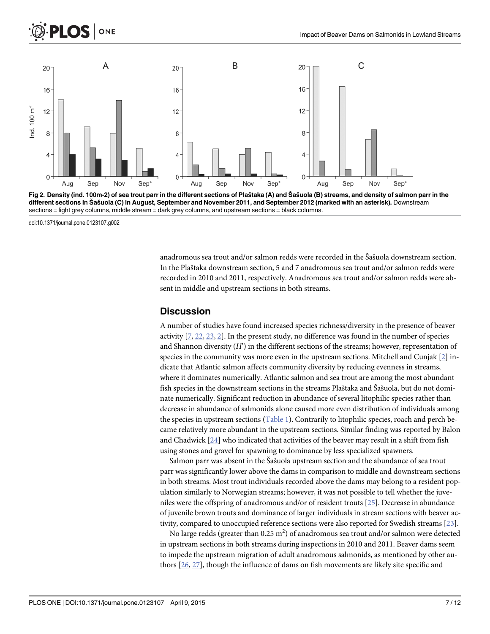

Fig 2. Density (ind. 100m-2) of sea trout parr in the different sections of Plaštaka (A) and Šašuola (B) streams, and density of salmon parr in the different sections in Šašuola (C) in August, September and November 2011, and September 2012 (marked with an asterisk). Downstream sections = light grey columns, middle stream = dark grey columns, and upstream sections = black columns.

doi:10.1371/journal.pone.0123107.g002

anadromous sea trout and/or salmon redds were recorded in the Šašuola downstream section. In the Plaštaka downstream section, 5 and 7 anadromous sea trout and/or salmon redds were recorded in 2010 and 2011, respectively. Anadromous sea trout and/or salmon redds were absent in middle and upstream sections in both streams.

### **Discussion**

A number of studies have found increased species richness/diversity in the presence of beaver activity  $[7, 22, 23, 2]$ . In the present study, no difference was found in the number of species and Shannon diversity  $(H')$  in the different sections of the streams; however, representation of species in the community was more even in the upstream sections. Mitchell and Cunjak [2] indicate that Atlantic salmon affects community diversity by reducing evenness in streams, where it dominates numerically. Atlantic salmon and sea trout are among the most abundant fish species in the downstream sections in the streams Plaštaka and Šašuola, but do not dominate numerically. Significant reduction in abundance of several litophilic species rather than decrease in abundance of salmonids alone caused more even distribution of individuals among the species in upstream sections (Table 1). Contrarily to litophilic species, roach and perch became relatively more abundant in the upstream sections. Similar finding was reported by Balon and Chadwick  $[24]$  who indicated that activities of the beaver may result in a shift from fish using stones and gravel for spawning to dominance by less specialized spawners.

Salmon parr was absent in the Šašuola upstream section and the abundance of sea trout parr was significantly lower above the dams in comparison to middle and downstream sections in both streams. Most trout individuals recorded above the dams may belong to a resident population similarly to Norwegian streams; however, it was not possible to tell whether the juveniles were the offspring of anadromous and/or of resident trouts [25]. Decrease in abundance of juvenile brown trouts and dominance of larger individuals in stream sections with beaver activity, compared to unoccupied reference sections were also reported for Swedish streams [23].

No large redds (greater than 0.25  $\mathrm{m}^{2})$  of anadromous sea trout and/or salmon were detected in upstream sections in both streams during inspections in 2010 and 2011. Beaver dams seem to impede the upstream migration of adult anadromous salmonids, as mentioned by other authors [26, 27], though the influence of dams on fish movements are likely site specific and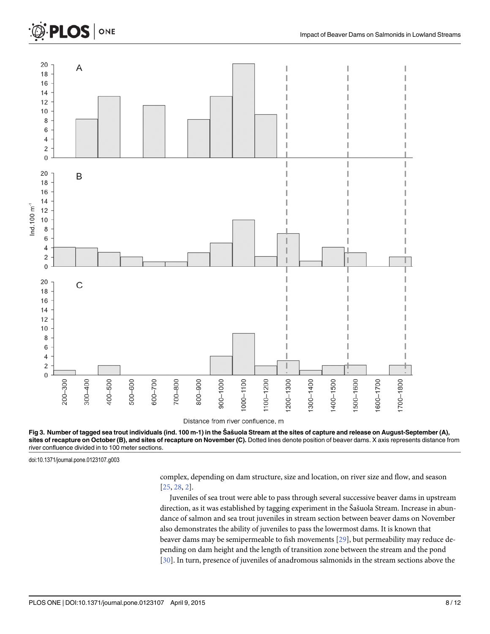# PLOS | ONE







doi:10.1371/journal.pone.0123107.g003

complex, depending on dam structure, size and location, on river size and flow, and season [25, 28, 2].

Juveniles of sea trout were able to pass through several successive beaver dams in upstream direction, as it was established by tagging experiment in the Šašuola Stream. Increase in abundance of salmon and sea trout juveniles in stream section between beaver dams on November also demonstrates the ability of juveniles to pass the lowermost dams. It is known that beaver dams may be semipermeable to fish movements [29], but permeability may reduce depending on dam height and the length of transition zone between the stream and the pond [30]. In turn, presence of juveniles of anadromous salmonids in the stream sections above the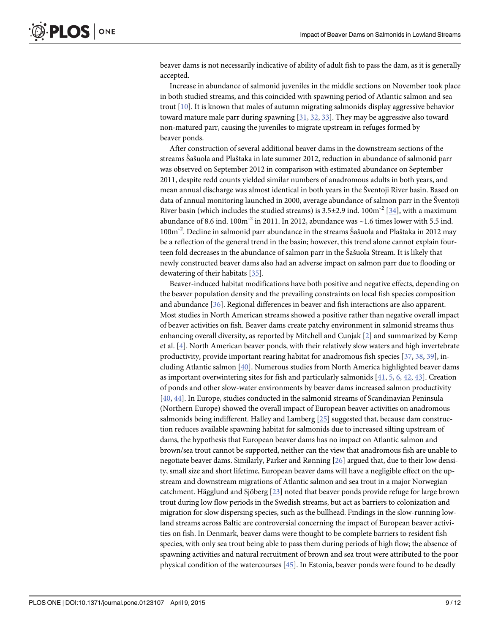beaver dams is not necessarily indicative of ability of adult fish to pass the dam, as it is generally accepted.

Increase in abundance of salmonid juveniles in the middle sections on November took place in both studied streams, and this coincided with spawning period of Atlantic salmon and sea trout [10]. It is known that males of autumn migrating salmonids display aggressive behavior toward mature male parr during spawning  $[31, 32, 33]$ . They may be aggressive also toward non-matured parr, causing the juveniles to migrate upstream in refuges formed by beaver ponds.

After construction of several additional beaver dams in the downstream sections of the streams Šašuola and Plaštaka in late summer 2012, reduction in abundance of salmonid parr was observed on September 2012 in comparison with estimated abundance on September 2011, despite redd counts yielded similar numbers of anadromous adults in both years, and mean annual discharge was almost identical in both years in the Šventoji River basin. Based on data of annual monitoring launched in 2000, average abundance of salmon parr in the Šventoji River basin (which includes the studied streams) is  $3.5\pm2.9$  ind.  $100\text{m}^{-2}$  [34], with a maximum abundance of 8.6 ind.  $100m^{-2}$  in 2011. In 2012, abundance was  $\sim$ 1.6 times lower with 5.5 ind. 100m-2. Decline in salmonid parr abundance in the streams Šašuola and Plaštaka in 2012 may be a reflection of the general trend in the basin; however, this trend alone cannot explain fourteen fold decreases in the abundance of salmon parr in the Šašuola Stream. It is likely that newly constructed beaver dams also had an adverse impact on salmon parr due to flooding or dewatering of their habitats [35].

Beaver-induced habitat modifications have both positive and negative effects, depending on the beaver population density and the prevailing constraints on local fish species composition and abundance [36]. Regional differences in beaver and fish interactions are also apparent. Most studies in North American streams showed a positive rather than negative overall impact of beaver activities on fish. Beaver dams create patchy environment in salmonid streams thus enhancing overall diversity, as reported by Mitchell and Cunjak [2] and summarized by Kemp et al. [4]. North American beaver ponds, with their relatively slow waters and high invertebrate productivity, provide important rearing habitat for anadromous fish species [37, 38, 39], including Atlantic salmon [40]. Numerous studies from North America highlighted beaver dams as important overwintering sites for fish and particularly salmonids  $[41, 5, 6, 42, 43]$ . Creation of ponds and other slow-water environments by beaver dams increased salmon productivity [40, 44]. In Europe, studies conducted in the salmonid streams of Scandinavian Peninsula (Northern Europe) showed the overall impact of European beaver activities on anadromous salmonids being indifferent. Halley and Lamberg [25] suggested that, because dam construction reduces available spawning habitat for salmonids due to increased silting upstream of dams, the hypothesis that European beaver dams has no impact on Atlantic salmon and brown/sea trout cannot be supported, neither can the view that anadromous fish are unable to negotiate beaver dams. Similarly, Parker and Rønning [26] argued that, due to their low density, small size and short lifetime, European beaver dams will have a negligible effect on the upstream and downstream migrations of Atlantic salmon and sea trout in a major Norwegian catchment. Hägglund and Sjöberg [23] noted that beaver ponds provide refuge for large brown trout during low flow periods in the Swedish streams, but act as barriers to colonization and migration for slow dispersing species, such as the bullhead. Findings in the slow-running lowland streams across Baltic are controversial concerning the impact of European beaver activities on fish. In Denmark, beaver dams were thought to be complete barriers to resident fish species, with only sea trout being able to pass them during periods of high flow; the absence of spawning activities and natural recruitment of brown and sea trout were attributed to the poor physical condition of the watercourses [45]. In Estonia, beaver ponds were found to be deadly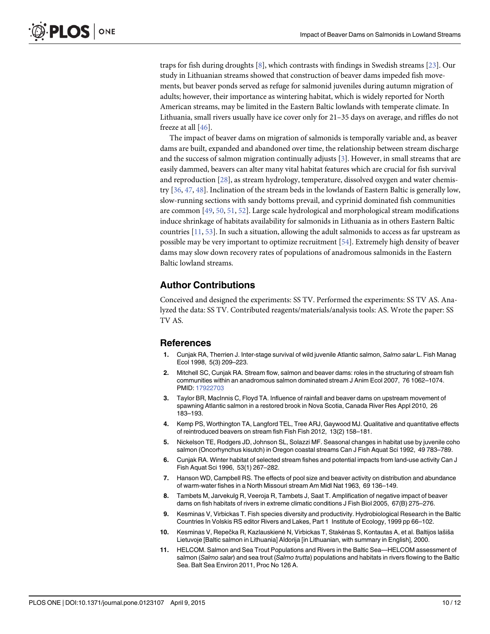traps for fish during droughts [8], which contrasts with findings in Swedish streams [23]. Our study in Lithuanian streams showed that construction of beaver dams impeded fish movements, but beaver ponds served as refuge for salmonid juveniles during autumn migration of adults; however, their importance as wintering habitat, which is widely reported for North American streams, may be limited in the Eastern Baltic lowlands with temperate climate. In Lithuania, small rivers usually have ice cover only for 21–35 days on average, and riffles do not freeze at all [46].

The impact of beaver dams on migration of salmonids is temporally variable and, as beaver dams are built, expanded and abandoned over time, the relationship between stream discharge and the success of salmon migration continually adjusts [3]. However, in small streams that are easily dammed, beavers can alter many vital habitat features which are crucial for fish survival and reproduction [28], as stream hydrology, temperature, dissolved oxygen and water chemistry [36, 47, 48]. Inclination of the stream beds in the lowlands of Eastern Baltic is generally low, slow-running sections with sandy bottoms prevail, and cyprinid dominated fish communities are common [49, 50, 51, 52]. Large scale hydrological and morphological stream modifications induce shrinkage of habitats availability for salmonids in Lithuania as in others Eastern Baltic countries [11, 53]. In such a situation, allowing the adult salmonids to access as far upstream as possible may be very important to optimize recruitment [54]. Extremely high density of beaver dams may slow down recovery rates of populations of anadromous salmonids in the Eastern Baltic lowland streams.

# Author Contributions

Conceived and designed the experiments: SS TV. Performed the experiments: SS TV AS. Analyzed the data: SS TV. Contributed reagents/materials/analysis tools: AS. Wrote the paper: SS TV AS.

# **References**

- Cunjak RA, Therrien J. Inter-stage survival of wild juvenile Atlantic salmon, Salmo salar L. Fish Manag Ecol 1998, 5(3) 209–223.
- 2. Mitchell SC, Cunjak RA. Stream flow, salmon and beaver dams: roles in the structuring of stream fish communities within an anadromous salmon dominated stream J Anim Ecol 2007, 76 1062–1074. PMID: 17922703
- 3. Taylor BR, MacInnis C, Floyd TA. Influence of rainfall and beaver dams on upstream movement of spawning Atlantic salmon in a restored brook in Nova Scotia, Canada River Res Appl 2010, 26 183–193.
- 4. Kemp PS, Worthington TA, Langford TEL, Tree ARJ, Gaywood MJ. Qualitative and quantitative effects of reintroduced beavers on stream fish Fish Fish 2012, 13(2) 158–181.
- 5. Nickelson TE, Rodgers JD, Johnson SL, Solazzi MF. Seasonal changes in habitat use by juvenile coho salmon (Oncorhynchus kisutch) in Oregon coastal streams Can J Fish Aquat Sci 1992, 49 783–789.
- 6. Cunjak RA. Winter habitat of selected stream fishes and potential impacts from land-use activity Can J Fish Aquat Sci 1996, 53(1) 267–282.
- 7. Hanson WD, Campbell RS. The effects of pool size and beaver activity on distribution and abundance of warm-water fishes in a North Missouri stream Am Midl Nat 1963, 69 136–149.
- 8. Tambets M, Jarvekulg R, Veeroja R, Tambets J, Saat T. Amplification of negative impact of beaver dams on fish habitats of rivers in extreme climatic conditions J Fish Biol 2005, 67(B) 275–276.
- 9. Kesminas V, Virbickas T. Fish species diversity and productivity. Hydrobiological Research in the Baltic Countries In Volskis RS editor Rivers and Lakes, Part 1 Institute of Ecology, 1999 pp 66–102.
- 10. Kesminas V, Repečka R, Kazlauskienė N, Virbickas T, Stakėnas S, Kontautas A, et al. Baltijos lašiša Lietuvoje [Baltic salmon in Lithuania] Aldorija [in Lithuanian, with summary in English], 2000.
- 11. HELCOM. Salmon and Sea Trout Populations and Rivers in the Baltic Sea—HELCOM assessment of salmon (Salmo salar) and sea trout (Salmo trutta) populations and habitats in rivers flowing to the Baltic Sea. Balt Sea Environ 2011, Proc No 126 A.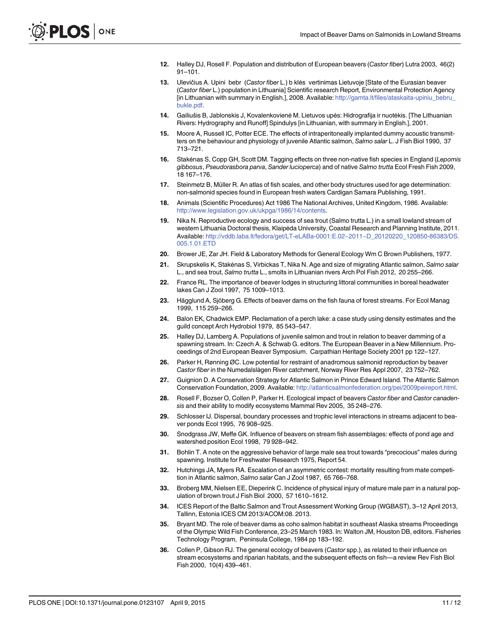- 12. Halley DJ, Rosell F. Population and distribution of European beavers (Castor fiber) Lutra 2003, 46(2) 91–101.
- 13. Ulevičius A. Upini bebr (Castor fiber L.) b klės vertinimas Lietuvoje [State of the Eurasian beaver (Castor fiber L.) population in Lithuania] Scientific research Report, Environmental Protection Agency [in Lithuanian with summary in English.], 2008. Available: http://gamta.lt/files/ataskaita-upiniu\_bebru\_ bukle.pdf.
- 14. Gailiušis B, Jablonskis J, Kovalenkovienė M. Lietuvos upės: Hidrografija ir nuotėkis. [The Lithuanian Rivers: Hydrography and Runoff] Spindulys [in Lithuanian, with summary in English.], 2001.
- 15. Moore A, Russell IC, Potter ECE. The effects of intraperitoneally implanted dummy acoustic transmitters on the behaviour and physiology of juvenile Atlantic salmon, Salmo salar L. J Fish Biol 1990, 37 713–721.
- 16. Stakėnas S, Copp GH, Scott DM. Tagging effects on three non-native fish species in England (Lepomis gibbosus, Pseudorasbora parva, Sander lucioperca) and of native Salmo trutta Ecol Fresh Fish 2009, 18 167–176.
- 17. Steinmetz B, Müller R. An atlas of fish scales, and other body structures used for age determination: non-salmonid species found in European fresh waters Cardigan Samara Publishing, 1991.
- 18. Animals (Scientific Procedures) Act 1986 The National Archives, United Kingdom, 1986. Available: http://www.legislation.gov.uk/ukpga/1986/14/contents.
- 19. Nika N. Reproductive ecology and success of sea trout (Salmo trutta L.) in a small lowland stream of western Lithuania Doctoral thesis, Klaipėda University, Coastal Research and Planning Institute, 2011. Available: http://vddb.laba.lt/fedora/get/LT-eLABa-0001:E.02~2011~D\_20120220\_120850-86383/DS. 005.1.01.ETD
- 20. Brower JE, Zar JH. Field & Laboratory Methods for General Ecology Wm C Brown Publishers, 1977.
- 21. Skrupskelis K, Stakėnas S, Virbickas T, Nika N. Age and size of migrating Atlantic salmon, Salmo salar L., and sea trout, Salmo trutta L., smolts in Lithuanian rivers Arch Pol Fish 2012, 20 255–266.
- 22. France RL. The importance of beaver lodges in structuring littoral communities in boreal headwater lakes Can J Zool 1997, 75 1009–1013.
- 23. Hägglund A, Sjöberg G. Effects of beaver dams on the fish fauna of forest streams. For Ecol Manag 1999, 115 259–266.
- 24. Balon EK, Chadwick EMP. Reclamation of a perch lake: a case study using density estimates and the guild concept Arch Hydrobiol 1979, 85 543–547.
- 25. Halley DJ, Lamberg A. Populations of juvenile salmon and trout in relation to beaver damming of a spawning stream. In: Czech A. & Schwab G. editors. The European Beaver in a New Millennium. Proceedings of 2nd European Beaver Symposium. Carpathian Heritage Society 2001 pp 122–127.
- 26. Parker H, Rønning ØC. Low potential for restraint of anadromous salmonid reproduction by beaver Castor fiber in the Numedalslågen River catchment, Norway River Res Appl 2007, 23 752–762.
- 27. Guignion D. A Conservation Strategy for Atlantic Salmon in Prince Edward Island. The Atlantic Salmon Conservation Foundation, 2009. Available: http://atlanticsalmonfederation.org/pei/2009peireport.html.
- 28. Rosell F, Bozser O, Collen P, Parker H. Ecological impact of beavers Castor fiber and Castor canadensis and their ability to modify ecosystems Mammal Rev 2005, 35 248–276.
- 29. Schlosser IJ. Dispersal, boundary processes and trophic level interactions in streams adjacent to beaver ponds Ecol 1995, 76 908–925.
- 30. Snodgrass JW, Meffe GK. Influence of beavers on stream fish assemblages: effects of pond age and watershed position Ecol 1998, 79 928–942.
- 31. Bohlin T. A note on the aggressive behavior of large male sea trout towards "precocious" males during spawning. Institute for Freshwater Research 1975, Report 54.
- 32. Hutchings JA, Myers RA. Escalation of an asymmetric contest: mortality resulting from mate competition in Atlantic salmon, Salmo salar Can J Zool 1987, 65 766–768.
- 33. Broberg MM, Nielsen EE, Dieperink C. Incidence of physical injury of mature male parr in a natural population of brown trout J Fish Biol 2000, 57 1610–1612.
- 34. ICES Report of the Baltic Salmon and Trout Assessment Working Group (WGBAST), 3–12 April 2013, Tallinn, Estonia ICES CM 2013/ACOM:08. 2013.
- 35. Bryant MD. The role of beaver dams as coho salmon habitat in southeast Alaska streams Proceedings of the Olympic Wild Fish Conference, 23–25 March 1983. In: Walton JM, Houston DB, editors. Fisheries Technology Program, Peninsula College, 1984 pp 183–192.
- 36. Collen P, Gibson RJ. The general ecology of beavers (Castor spp.), as related to their influence on stream ecosystems and riparian habitats, and the subsequent effects on fish—a review Rev Fish Biol Fish 2000, 10(4) 439–461.